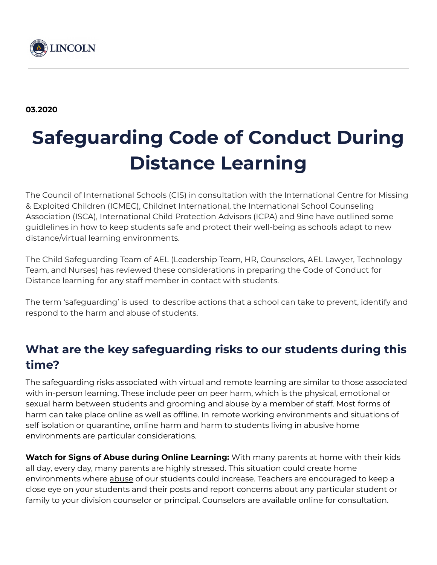

# **Safeguarding Code of Conduct During Distance Learning**

The Council of International Schools (CIS) in consultation with the International Centre for Missing & Exploited Children (ICMEC), Childnet International, the International School Counseling Association (ISCA), International Child Protection Advisors (ICPA) and 9ine have outlined some guidlelines in how to keep students safe and protect their well-being as schools adapt to new distance/virtual learning environments.

The Child Safeguarding Team of AEL (Leadership Team, HR, Counselors, AEL Lawyer, Technology Team, and Nurses) has reviewed these considerations in preparing the Code of Conduct for Distance learning for any staff member in contact with students.

The term 'safeguarding' is used to describe actions that a school can take to prevent, identify and respond to the harm and abuse of students.

### **What are the key safeguarding risks to our students during this time?**

The safeguarding risks associated with virtual and remote learning are similar to those associated with in-person learning. These include peer on peer harm, which is the physical, emotional or sexual harm between students and grooming and abuse by a member of staff. Most forms of harm can take place online as well as offline. In remote working environments and situations of self isolation or quarantine, online harm and harm to students living in abusive home environments are particular considerations.

**Watch for Signs of Abuse during Online Learning:** With many parents at home with their kids all day, every day, many parents are highly stressed. This situation could create home environments where [abuse](https://docs.google.com/document/d/18B5RKVssZs5RiS-Q3oPrbHT6K_iWeuh7MUcP_pR_cNA/edit?usp=sharing) of our students could increase. Teachers are encouraged to keep a close eye on your students and their posts and report concerns about any particular student or family to your division counselor or principal. Counselors are available online for consultation.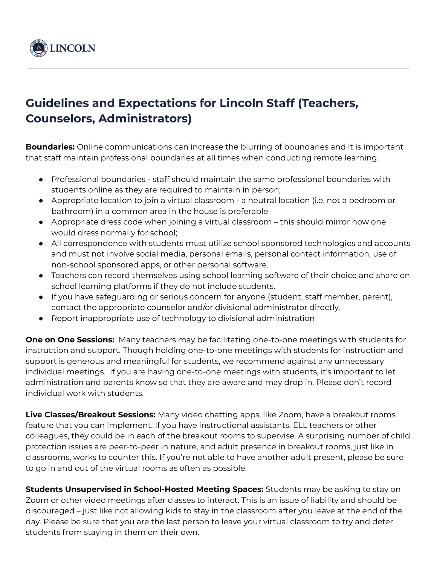

### **Guidelines and Expectations for Lincoln Staff (Teachers, Counselors, Administrators)**

**Boundaries:** Online communications can increase the blurring of boundaries and it is important that staff maintain professional boundaries at all times when conducting remote learning.

- Professional boundaries staff should maintain the same professional boundaries with students online as they are required to maintain in person;
- Appropriate location to join a virtual classroom a neutral location (i.e. not a bedroom or bathroom) in a common area in the house is preferable
- Appropriate dress code when joining a virtual classroom this should mirror how one would dress normally for school;
- All correspondence with students must utilize school sponsored technologies and accounts and must not involve social media, personal emails, personal contact information, use of non-school sponsored apps, or other personal software.
- Teachers can record themselves using school learning software of their choice and share on school learning platforms if they do not include students.
- If you have safeguarding or serious concern for anyone (student, staff member, parent), contact the appropriate counselor and/or divisional administrator directly.
- Report inappropriate use of technology to divisional administration

**One on One Sessions:** Many teachers may be facilitating one-to-one meetings with students for instruction and support. Though holding one-to-one meetings with students for instruction and support is generous and meaningful for students, we recommend against any unnecessary individual meetings. If you are having one-to-one meetings with students, it's important to let administration and parents know so that they are aware and may drop in. Please don't record individual work with students.

**Live Classes/Breakout Sessions:** Many video chatting apps, like Zoom, have a breakout rooms feature that you can implement. If you have instructional assistants, ELL teachers or other colleagues, they could be in each of the breakout rooms to supervise. A surprising number of child protection issues are peer-to-peer in nature, and adult presence in breakout rooms, just like in classrooms, works to counter this. If you're not able to have another adult present, please be sure to go in and out of the virtual rooms as often as possible.

**Students Unsupervised in School-Hosted Meeting Spaces:** Students may be asking to stay on Zoom or other video meetings after classes to interact. This is an issue of liability and should be discouraged – just like not allowing kids to stay in the classroom after you leave at the end of the day. Please be sure that you are the last person to leave your virtual classroom to try and deter students from staying in them on their own.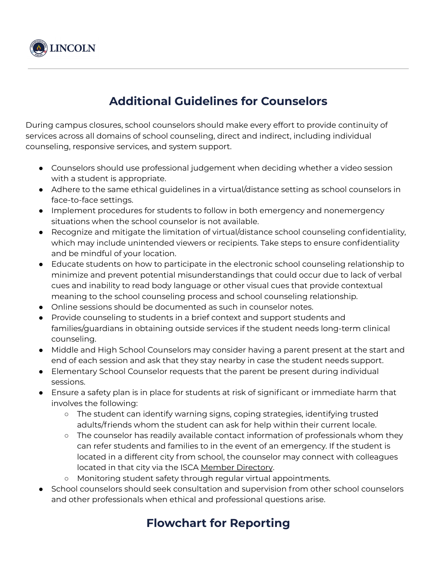

## **Additional Guidelines for Counselors**

During campus closures, school counselors should make every effort to provide continuity of services across all domains of school counseling, direct and indirect, including individual counseling, responsive services, and system support.

- Counselors should use professional judgement when deciding whether a video session with a student is appropriate.
- Adhere to the same ethical guidelines in a virtual/distance setting as school counselors in face-to-face settings.
- Implement procedures for students to follow in both emergency and nonemergency situations when the school counselor is not available.
- Recognize and mitigate the limitation of virtual/distance school counseling confidentiality, which may include unintended viewers or recipients. Take steps to ensure confidentiality and be mindful of your location.
- Educate students on how to participate in the electronic school counseling relationship to minimize and prevent potential misunderstandings that could occur due to lack of verbal cues and inability to read body language or other visual cues that provide contextual meaning to the school counseling process and school counseling relationship.
- Online sessions should be documented as such in counselor notes.
- Provide counseling to students in a brief context and support students and families/guardians in obtaining outside services if the student needs long-term clinical counseling.
- Middle and High School Counselors may consider having a parent present at the start and end of each session and ask that they stay nearby in case the student needs support.
- Elementary School Counselor requests that the parent be present during individual sessions.
- Ensure a safety plan is in place for students at risk of significant or immediate harm that involves the following:
	- The student can identify warning signs, coping strategies, identifying trusted adults/friends whom the student can ask for help within their current locale.
	- The counselor has readily available contact information of professionals whom they can refer students and families to in the event of an emergency. If the student is located in a different city from school, the counselor may connect with colleagues located in that city via the ISCA Member [Directory](https://iscainfo.com/EmailTracker/LinkTracker.ashx?linkAndRecipientCode=aymE7ME6bDXmUViksVJuyw3MoOz64cW332oGiNxSos8qAucDhRefdFZQL5WbSrkmGQn%2bwzQ8lMermxoCB5%2fhdSl9etmVO50qAO3I2MYVHCA%3d).
	- Monitoring student safety through regular virtual appointments.
- School counselors should seek consultation and supervision from other school counselors and other professionals when ethical and professional questions arise.

## **Flowchart for Reporting**